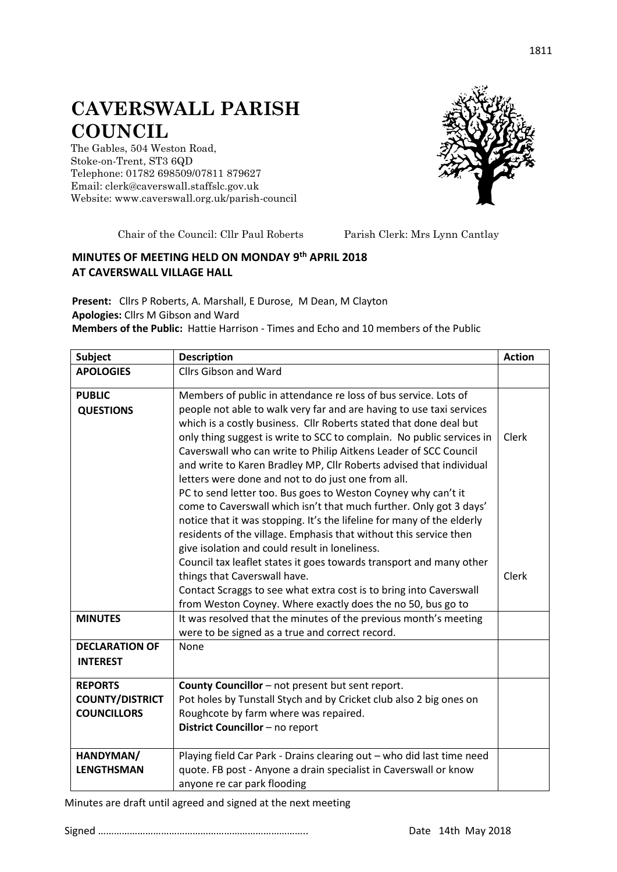## **CAVERSWALL PARISH COUNCIL**

The Gables, 504 Weston Road, Stoke-on-Trent, ST3 6QD Telephone: 01782 698509/07811 879627 Email: clerk@caverswall.staffslc.gov.uk Website: [www.c](http://www.dilhorneparishcouncil.co.uk/)averswall.org.uk/parish-council



Chair of the Council: Cllr Paul Roberts Parish Clerk: Mrs Lynn Cantlay

## **MINUTES OF MEETING HELD ON MONDAY 9 th APRIL 2018 AT CAVERSWALL VILLAGE HALL**

**Present:** Cllrs P Roberts, A. Marshall, E Durose, M Dean, M Clayton **Apologies:** Cllrs M Gibson and Ward **Members of the Public:** Hattie Harrison - Times and Echo and 10 members of the Public

| Subject                                                        | <b>Description</b>                                                                                                                                                                                                                                                                                                                           | <b>Action</b> |
|----------------------------------------------------------------|----------------------------------------------------------------------------------------------------------------------------------------------------------------------------------------------------------------------------------------------------------------------------------------------------------------------------------------------|---------------|
| <b>APOLOGIES</b>                                               | <b>Cllrs Gibson and Ward</b>                                                                                                                                                                                                                                                                                                                 |               |
| <b>PUBLIC</b><br><b>QUESTIONS</b>                              | Members of public in attendance re loss of bus service. Lots of<br>people not able to walk very far and are having to use taxi services                                                                                                                                                                                                      |               |
|                                                                | which is a costly business. Cllr Roberts stated that done deal but<br>only thing suggest is write to SCC to complain. No public services in<br>Caverswall who can write to Philip Aitkens Leader of SCC Council<br>and write to Karen Bradley MP, Cllr Roberts advised that individual<br>letters were done and not to do just one from all. | Clerk         |
|                                                                | PC to send letter too. Bus goes to Weston Coyney why can't it<br>come to Caverswall which isn't that much further. Only got 3 days'<br>notice that it was stopping. It's the lifeline for many of the elderly<br>residents of the village. Emphasis that without this service then<br>give isolation and could result in loneliness.         |               |
|                                                                | Council tax leaflet states it goes towards transport and many other<br>things that Caverswall have.<br>Contact Scraggs to see what extra cost is to bring into Caverswall                                                                                                                                                                    | <b>Clerk</b>  |
|                                                                | from Weston Coyney. Where exactly does the no 50, bus go to                                                                                                                                                                                                                                                                                  |               |
| <b>MINUTES</b>                                                 | It was resolved that the minutes of the previous month's meeting<br>were to be signed as a true and correct record.                                                                                                                                                                                                                          |               |
| <b>DECLARATION OF</b><br><b>INTEREST</b>                       | None                                                                                                                                                                                                                                                                                                                                         |               |
| <b>REPORTS</b><br><b>COUNTY/DISTRICT</b><br><b>COUNCILLORS</b> | County Councillor - not present but sent report.<br>Pot holes by Tunstall Stych and by Cricket club also 2 big ones on<br>Roughcote by farm where was repaired.<br>District Councillor - no report                                                                                                                                           |               |
| HANDYMAN/<br><b>LENGTHSMAN</b>                                 | Playing field Car Park - Drains clearing out - who did last time need<br>quote. FB post - Anyone a drain specialist in Caverswall or know<br>anyone re car park flooding                                                                                                                                                                     |               |

Minutes are draft until agreed and signed at the next meeting

Signed …………………………………………………………………….. Date 14th May 2018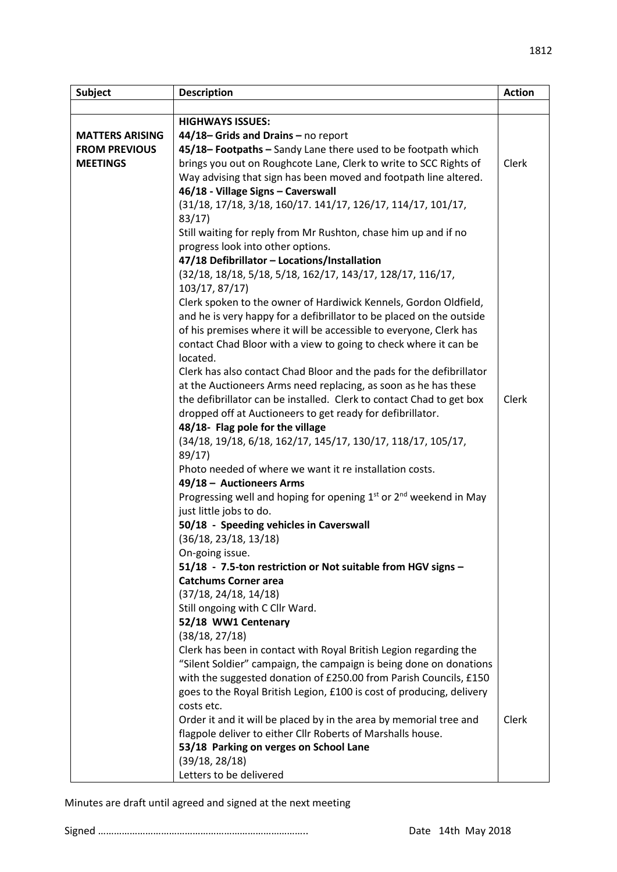| Subject                | <b>Description</b>                                                    | <b>Action</b> |
|------------------------|-----------------------------------------------------------------------|---------------|
|                        |                                                                       |               |
|                        | <b>HIGHWAYS ISSUES:</b>                                               |               |
| <b>MATTERS ARISING</b> | 44/18-Grids and Drains - no report                                    |               |
| <b>FROM PREVIOUS</b>   | 45/18-Footpaths - Sandy Lane there used to be footpath which          |               |
| <b>MEETINGS</b>        | brings you out on Roughcote Lane, Clerk to write to SCC Rights of     | Clerk         |
|                        | Way advising that sign has been moved and footpath line altered.      |               |
|                        | 46/18 - Village Signs - Caverswall                                    |               |
|                        | (31/18, 17/18, 3/18, 160/17. 141/17, 126/17, 114/17, 101/17,          |               |
|                        | 83/17                                                                 |               |
|                        | Still waiting for reply from Mr Rushton, chase him up and if no       |               |
|                        | progress look into other options.                                     |               |
|                        | 47/18 Defibrillator - Locations/Installation                          |               |
|                        | (32/18, 18/18, 5/18, 5/18, 162/17, 143/17, 128/17, 116/17,            |               |
|                        | 103/17, 87/17)                                                        |               |
|                        | Clerk spoken to the owner of Hardiwick Kennels, Gordon Oldfield,      |               |
|                        | and he is very happy for a defibrillator to be placed on the outside  |               |
|                        | of his premises where it will be accessible to everyone, Clerk has    |               |
|                        | contact Chad Bloor with a view to going to check where it can be      |               |
|                        | located.                                                              |               |
|                        | Clerk has also contact Chad Bloor and the pads for the defibrillator  |               |
|                        | at the Auctioneers Arms need replacing, as soon as he has these       |               |
|                        | the defibrillator can be installed. Clerk to contact Chad to get box  | Clerk         |
|                        | dropped off at Auctioneers to get ready for defibrillator.            |               |
|                        | 48/18- Flag pole for the village                                      |               |
|                        | (34/18, 19/18, 6/18, 162/17, 145/17, 130/17, 118/17, 105/17,          |               |
|                        | 89/17                                                                 |               |
|                        | Photo needed of where we want it re installation costs.               |               |
|                        | 49/18 - Auctioneers Arms                                              |               |
|                        | Progressing well and hoping for opening $1st$ or $2nd$ weekend in May |               |
|                        | just little jobs to do.                                               |               |
|                        | 50/18 - Speeding vehicles in Caverswall                               |               |
|                        | (36/18, 23/18, 13/18)                                                 |               |
|                        | On-going issue.                                                       |               |
|                        | 51/18 - 7.5-ton restriction or Not suitable from HGV signs -          |               |
|                        | <b>Catchums Corner area</b>                                           |               |
|                        | (37/18, 24/18, 14/18)                                                 |               |
|                        | Still ongoing with C Cllr Ward.                                       |               |
|                        | 52/18 WW1 Centenary                                                   |               |
|                        | (38/18, 27/18)                                                        |               |
|                        | Clerk has been in contact with Royal British Legion regarding the     |               |
|                        | "Silent Soldier" campaign, the campaign is being done on donations    |               |
|                        | with the suggested donation of £250.00 from Parish Councils, £150     |               |
|                        | goes to the Royal British Legion, £100 is cost of producing, delivery |               |
|                        | costs etc.                                                            |               |
|                        | Order it and it will be placed by in the area by memorial tree and    | Clerk         |
|                        | flagpole deliver to either Cllr Roberts of Marshalls house.           |               |
|                        | 53/18 Parking on verges on School Lane                                |               |
|                        | (39/18, 28/18)                                                        |               |
|                        | Letters to be delivered                                               |               |

Minutes are draft until agreed and signed at the next meeting

Signed …………………………………………………………………….. Date 14th May 2018